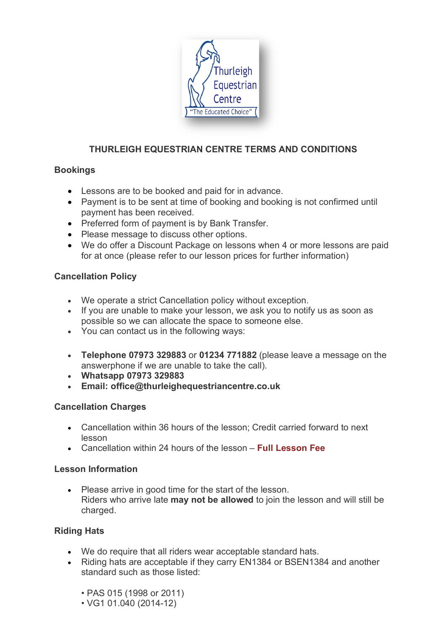

# **THURLEIGH EQUESTRIAN CENTRE TERMS AND CONDITIONS**

## **Bookings**

- Lessons are to be booked and paid for in advance.
- Payment is to be sent at time of booking and booking is not confirmed until payment has been received.
- Preferred form of payment is by Bank Transfer.
- Please message to discuss other options.
- We do offer a Discount Package on lessons when 4 or more lessons are paid for at once (please refer to our lesson prices for further information)

## **Cancellation Policy**

- We operate a strict Cancellation policy without exception.
- If you are unable to make your lesson, we ask you to notify us as soon as possible so we can allocate the space to someone else.
- You can contact us in the following ways:
- **Telephone 07973 329883** or **01234 771882** (please leave a message on the answerphone if we are unable to take the call).
- **Whatsapp 07973 329883**
- **Email: office@thurleighequestriancentre.co.uk**

## **Cancellation Charges**

- Cancellation within 36 hours of the lesson; Credit carried forward to next lesson
- Cancellation within 24 hours of the lesson **Full Lesson Fee**

## **Lesson Information**

• Please arrive in good time for the start of the lesson. Riders who arrive late **may not be allowed** to join the lesson and will still be charged.

## **Riding Hats**

- We do require that all riders wear acceptable standard hats.
- Riding hats are acceptable if they carry EN1384 or BSEN1384 and another standard such as those listed:
	- PAS 015 (1998 or 2011)
	- VG1 01.040 (2014-12)